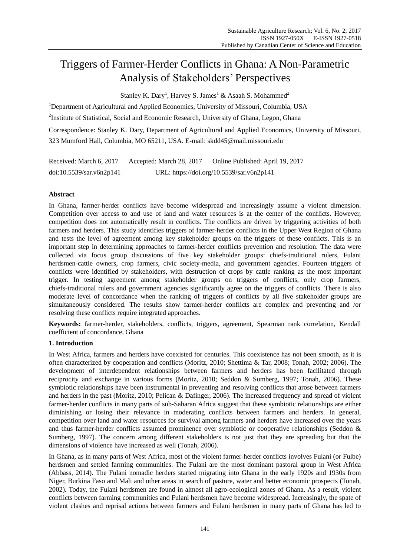# Triggers of Farmer-Herder Conflicts in Ghana: A Non-Parametric Analysis of Stakeholders' Perspectives

Stanley K. Dary<sup>1</sup>, Harvey S. James<sup>1</sup> & Asaah S. Mohammed<sup>2</sup>

<sup>1</sup>Department of Agricultural and Applied Economics, University of Missouri, Columbia, USA

<sup>2</sup>Institute of Statistical, Social and Economic Research, University of Ghana, Legon, Ghana

Correspondence: Stanley K. Dary, Department of Agricultural and Applied Economics, University of Missouri, 323 Mumford Hall, Columbia, MO 65211, USA. E-mail: skdd45@mail.missouri.edu

| Received: March 6, 2017  | Accepted: March 28, 2017 | Online Published: April 19, 2017          |
|--------------------------|--------------------------|-------------------------------------------|
| doi:10.5539/sar.v6n2p141 |                          | URL: https://doi.org/10.5539/sar.v6n2p141 |

# **Abstract**

In Ghana, farmer-herder conflicts have become widespread and increasingly assume a violent dimension. Competition over access to and use of land and water resources is at the center of the conflicts. However, competition does not automatically result in conflicts. The conflicts are driven by triggering activities of both farmers and herders. This study identifies triggers of farmer-herder conflicts in the Upper West Region of Ghana and tests the level of agreement among key stakeholder groups on the triggers of these conflicts. This is an important step in determining approaches to farmer-herder conflicts prevention and resolution. The data were collected via focus group discussions of five key stakeholder groups: chiefs-traditional rulers, Fulani herdsmen-cattle owners, crop farmers, civic society-media, and government agencies. Fourteen triggers of conflicts were identified by stakeholders, with destruction of crops by cattle ranking as the most important trigger. In testing agreement among stakeholder groups on triggers of conflicts, only crop farmers, chiefs-traditional rulers and government agencies significantly agree on the triggers of conflicts. There is also moderate level of concordance when the ranking of triggers of conflicts by all five stakeholder groups are simultaneously considered. The results show farmer-herder conflicts are complex and preventing and /or resolving these conflicts require integrated approaches.

**Keywords:** farmer-herder, stakeholders, conflicts, triggers, agreement, Spearman rank correlation, Kendall coefficient of concordance, Ghana

# **1. Introduction**

In West Africa, farmers and herders have coexisted for centuries. This coexistence has not been smooth, as it is often characterized by cooperation and conflicts (Moritz, 2010; Shettima & Tar, 2008; Tonah, 2002; 2006). The development of interdependent relationships between farmers and herders has been facilitated through reciprocity and exchange in various forms (Moritz, 2010; Seddon & Sumberg, 1997; Tonah, 2006). These symbiotic relationships have been instrumental in preventing and resolving conflicts that arose between farmers and herders in the past (Moritz, 2010; Pelican & Dafinger, 2006). The increased frequency and spread of violent farmer-herder conflicts in many parts of sub-Saharan Africa suggest that these symbiotic relationships are either diminishing or losing their relevance in moderating conflicts between farmers and herders. In general, competition over land and water resources for survival among farmers and herders have increased over the years and thus farmer-herder conflicts assumed prominence over symbiotic or cooperative relationships (Seddon & Sumberg, 1997). The concern among different stakeholders is not just that they are spreading but that the dimensions of violence have increased as well (Tonah, 2006).

In Ghana, as in many parts of West Africa, most of the violent farmer-herder conflicts involves Fulani (or Fulbe) herdsmen and settled farming communities. The Fulani are the most dominant pastoral group in West Africa (Abbass, 2014). The Fulani nomadic herders started migrating into Ghana in the early 1920s and 1930s from Niger, Burkina Faso and Mali and other areas in search of pasture, water and better economic prospects (Tonah, 2002). Today, the Fulani herdsmen are found in almost all agro-ecological zones of Ghana. As a result, violent conflicts between farming communities and Fulani herdsmen have become widespread. Increasingly, the spate of violent clashes and reprisal actions between farmers and Fulani herdsmen in many parts of Ghana has led to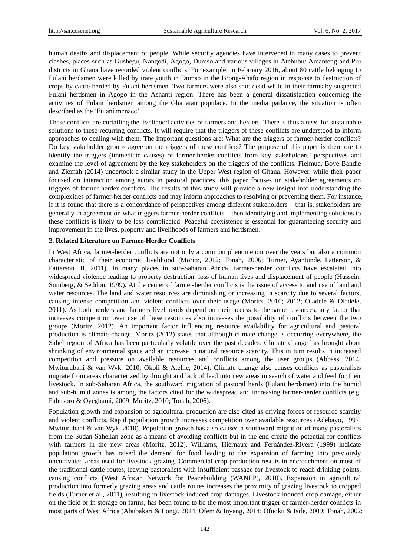human deaths and displacement of people. While security agencies have intervened in many cases to prevent clashes, places such as Gushegu, Nangodi, Agogo, Dumso and various villages in Atebubu/ Amanteng and Pru districts in Ghana have recorded violent conflicts. For example, in February 2016, about 80 cattle belonging to Fulani herdsmen were killed by irate youth in Dumso in the Brong-Ahafo region in response to destruction of crops by cattle herded by Fulani herdsmen. Two farmers were also shot dead while in their farms by suspected Fulani herdsmen in Agogo in the Ashanti region. There has been a general dissatisfaction concerning the activities of Fulani herdsmen among the Ghanaian populace. In the media parlance, the situation is often described as the 'Fulani menace'.

These conflicts are curtailing the livelihood activities of farmers and herders. There is thus a need for sustainable solutions to these recurring conflicts. It will require that the triggers of these conflicts are understood to inform approaches to dealing with them. The important questions are: What are the triggers of farmer-herder conflicts? Do key stakeholder groups agree on the triggers of these conflicts? The purpose of this paper is therefore to identify the triggers (immediate causes) of farmer-herder conflicts from key stakeholders' perspectives and examine the level of agreement by the key stakeholders on the triggers of the conflicts. Fielmua, Boye Bandie and Ziemah (2014) undertook a similar study in the Upper West region of Ghana. However, while their paper focused on interaction among actors in pastoral practices, this paper focuses on stakeholder agreements on triggers of farmer-herder conflicts. The results of this study will provide a new insight into understanding the complexities of farmer-herder conflicts and may inform approaches to resolving or preventing them. For instance, if it is found that there is a concordance of perspectives among different stakeholders – that is, stakeholders are generally in agreement on what triggers farmer-herder conflicts – then identifying and implementing solutions to these conflicts is likely to be less complicated. Peaceful coexistence is essential for guaranteeing security and improvement in the lives, property and livelihoods of farmers and herdsmen.

#### **2. Related Literature on Farmer-Herder Conflicts**

In West Africa, farmer-herder conflicts are not only a common phenomenon over the years but also a common characteristic of their economic livelihood (Moritz, 2012; Tonah, 2006; Turner, Ayantunde, Patterson, & Patterson III, 2011). In many places in sub-Saharan Africa, farmer-herder conflicts have escalated into widespread violence leading to property destruction, loss of human lives and displacement of people (Hussein, Sumberg, & Seddon, 1999). At the center of farmer-herder conflicts is the issue of access to and use of land and water resources. The land and water resources are diminishing or increasing in scarcity due to several factors, causing intense competition and violent conflicts over their usage (Moritz, 2010; 2012; Oladele & Oladele, 2011). As both herders and farmers livelihoods depend on their access to the same resources, any factor that increases competition over use of these resources also increases the possibility of conflicts between the two groups (Moritz, 2012). An important factor influencing resource availability for agricultural and pastoral production is climate change. Moritz (2012) states that although climate change is occurring everywhere, the Sahel region of Africa has been particularly volatile over the past decades. Climate change has brought about shrinking of environmental space and an increase in natural resource scarcity. This in turn results in increased competition and pressure on available resources and conflicts among the user groups (Abbass, 2014; Mwiturubani & van Wyk, 2010; Okoli & Atelhe, 2014). Climate change also causes conflicts as pastoralists migrate from areas characterized by drought and lack of feed into new areas in search of water and feed for their livestock. In sub-Saharan Africa, the southward migration of pastoral herds (Fulani herdsmen) into the humid and sub-humid zones is among the factors cited for the widespread and increasing farmer-herder conflicts (e.g. Fabusoro & Oyegbami, 2009; Moritz, 2010; Tonah, 2006).

Population growth and expansion of agricultural production are also cited as driving forces of resource scarcity and violent conflicts. Rapid population growth increases competition over available resources (Adebayo, 1997; Mwiturubani & van Wyk, 2010). Population growth has also caused a southward migration of many pastoralists from the Sudan-Sahelian zone as a means of avoiding conflicts but in the end create the potential for conflicts with farmers in the new areas (Moritz, 2012). Williams, Hiernaux and Fernández-Rivera (1999) indicate population growth has raised the demand for food leading to the expansion of farming into previously uncultivated areas used for livestock grazing. Commercial crop production results in encroachment on most of the traditional cattle routes, leaving pastoralists with insufficient passage for livestock to reach drinking points, causing conflicts (West African Network for Peacebuilding (WANEP), 2010). Expansion in agricultural production into formerly grazing areas and cattle routes increases the proximity of grazing livestock to cropped fields (Turner et al., 2011), resulting in livestock-induced crop damages. Livestock-induced crop damage, either on the field or in storage on farms, has been found to be the most important trigger of farmer-herder conflicts in most parts of West Africa (Abubakari & Longi, 2014; Ofem & Inyang, 2014; Ofuoku & Isife, 2009; Tonah, 2002;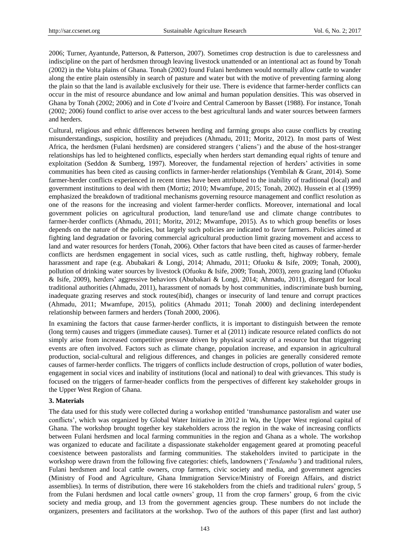2006; Turner, Ayantunde, Patterson, & Patterson, 2007). Sometimes crop destruction is due to carelessness and indiscipline on the part of herdsmen through leaving livestock unattended or an intentional act as found by Tonah (2002) in the Volta plains of Ghana. Tonah (2002) found Fulani herdsmen would normally allow cattle to wander along the entire plain ostensibly in search of pasture and water but with the motive of preventing farming along the plain so that the land is available exclusively for their use. There is evidence that farmer-herder conflicts can occur in the mist of resource abundance and low animal and human population densities. This was observed in Ghana by Tonah (2002; 2006) and in Cote d'Ivoire and Central Cameroon by Basset (1988). For instance, Tonah (2002; 2006) found conflict to arise over access to the best agricultural lands and water sources between farmers and herders.

Cultural, religious and ethnic differences between herding and farming groups also cause conflicts by creating misunderstandings, suspicion, hostility and prejudices (Ahmadu, 2011; Moritz, 2012). In most parts of West Africa, the herdsmen (Fulani herdsmen) are considered strangers ('aliens') and the abuse of the host-stranger relationships has led to heightened conflicts, especially when herders start demanding equal rights of tenure and exploitation (Seddon & Sumberg, 1997). Moreover, the fundamental rejection of herders' activities in some communities has been cited as causing conflicts in farmer-herder relationships (Yembilah & Grant, 2014). Some farmer-herder conflicts experienced in recent times have been attributed to the inability of traditional (local) and government institutions to deal with them (Mortiz; 2010; Mwamfupe, 2015; Tonah, 2002). Hussein et al (1999) emphasized the breakdown of traditional mechanisms governing resource management and conflict resolution as one of the reasons for the increasing and violent farmer-herder conflicts. Moreover, international and local government policies on agricultural production, land tenure/land use and climate change contributes to farmer-herder conflicts (Ahmadu, 2011; Moritz, 2012; Mwamfupe, 2015). As to which group benefits or loses depends on the nature of the policies, but largely such policies are indicated to favor farmers. Policies aimed at fighting land degradation or favoring commercial agricultural production limit grazing movement and access to land and water resources for herders (Tonah, 2006). Other factors that have been cited as causes of farmer-herder conflicts are herdsmen engagement in social vices, such as cattle rustling, theft, highway robbery, female harassment and rape (e.g. Abubakari & Longi, 2014; Ahmadu, 2011; Ofuoku & Isife, 2009; Tonah, 2000), pollution of drinking water sources by livestock (Ofuoku & Isife, 2009; Tonah, 2003), zero grazing land (Ofuoku & Isife, 2009), herders' aggressive behaviors (Abubakari & Longi, 2014; Ahmadu, 2011), disregard for local traditional authorities (Ahmadu, 2011), harassment of nomads by host communities, indiscriminate bush burning, inadequate grazing reserves and stock routes(ibid), changes or insecurity of land tenure and corrupt practices (Ahmadu, 2011; Mwamfupe, 2015), politics (Ahmadu 2011; Tonah 2000) and declining interdependent relationship between farmers and herders (Tonah 2000, 2006).

In examining the factors that cause farmer-herder conflicts, it is important to distinguish between the remote (long term) causes and triggers (immediate causes). Turner et al (2011) indicate resource related conflicts do not simply arise from increased competitive pressure driven by physical scarcity of a resource but that triggering events are often involved. Factors such as climate change, population increase, and expansion in agricultural production, social-cultural and religious differences, and changes in policies are generally considered remote causes of farmer-herder conflicts. The triggers of conflicts include destruction of crops, pollution of water bodies, engagement in social vices and inability of institutions (local and national) to deal with grievances. This study is focused on the triggers of farmer-header conflicts from the perspectives of different key stakeholder groups in the Upper West Region of Ghana.

## **3. Materials**

The data used for this study were collected during a workshop entitled 'transhumance pastoralism and water use conflicts', which was organized by Global Water Initiative in 2012 in Wa, the Upper West regional capital of Ghana. The workshop brought together key stakeholders across the region in the wake of increasing conflicts between Fulani herdsmen and local farming communities in the region and Ghana as a whole. The workshop was organized to educate and facilitate a dispassionate stakeholder engagement geared at promoting peaceful coexistence between pastoralists and farming communities. The stakeholders invited to participate in the workshop were drawn from the following five categories: chiefs, landowners ('*Tendamba'*) and traditional rulers, Fulani herdsmen and local cattle owners, crop farmers, civic society and media, and government agencies (Ministry of Food and Agriculture, Ghana Immigration Service/Ministry of Foreign Affairs, and district assemblies). In terms of distribution, there were 16 stakeholders from the chiefs and traditional rulers' group, 5 from the Fulani herdsmen and local cattle owners' group, 11 from the crop farmers' group, 6 from the civic society and media group, and 13 from the government agencies group. These numbers do not include the organizers, presenters and facilitators at the workshop. Two of the authors of this paper (first and last author)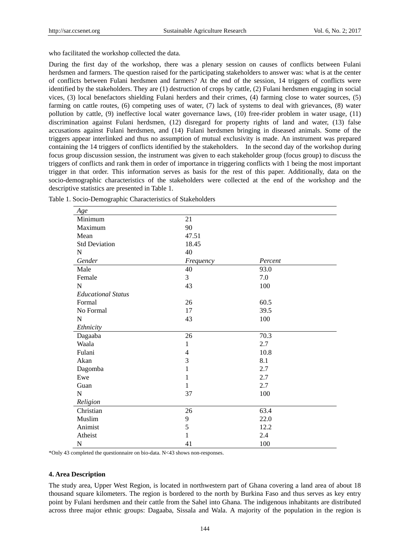who facilitated the workshop collected the data.

During the first day of the workshop, there was a plenary session on causes of conflicts between Fulani herdsmen and farmers. The question raised for the participating stakeholders to answer was: what is at the center of conflicts between Fulani herdsmen and farmers? At the end of the session, 14 triggers of conflicts were identified by the stakeholders. They are (1) destruction of crops by cattle, (2) Fulani herdsmen engaging in social vices, (3) local benefactors shielding Fulani herders and their crimes, (4) farming close to water sources, (5) farming on cattle routes, (6) competing uses of water, (7) lack of systems to deal with grievances, (8) water pollution by cattle, (9) ineffective local water governance laws, (10) free-rider problem in water usage, (11) discrimination against Fulani herdsmen, (12) disregard for property rights of land and water, (13) false accusations against Fulani herdsmen, and (14) Fulani herdsmen bringing in diseased animals. Some of the triggers appear interlinked and thus no assumption of mutual exclusivity is made. An instrument was prepared containing the 14 triggers of conflicts identified by the stakeholders. In the second day of the workshop during focus group discussion session, the instrument was given to each stakeholder group (focus group) to discuss the triggers of conflicts and rank them in order of importance in triggering conflicts with 1 being the most important trigger in that order. This information serves as basis for the rest of this paper. Additionally, data on the socio-demographic characteristics of the stakeholders were collected at the end of the workshop and the descriptive statistics are presented in Table 1.

| Age                       |                |         |  |
|---------------------------|----------------|---------|--|
| Minimum                   | 21             |         |  |
| Maximum                   | 90             |         |  |
| Mean                      | 47.51          |         |  |
| <b>Std Deviation</b>      | 18.45          |         |  |
| $\mathbf N$               | 40             |         |  |
| Gender                    | Frequency      | Percent |  |
| Male                      | 40             | 93.0    |  |
| Female                    | 3              | 7.0     |  |
| $\mathbf N$               | 43             | 100     |  |
| <b>Educational Status</b> |                |         |  |
| Formal                    | 26             | 60.5    |  |
| No Formal                 | 17             | 39.5    |  |
| N                         | 43             | 100     |  |
| Ethnicity                 |                |         |  |
| Dagaaba                   | 26             | 70.3    |  |
| Waala                     | 1              | 2.7     |  |
| Fulani                    | $\overline{4}$ | 10.8    |  |
| Akan                      | 3              | 8.1     |  |
| Dagomba                   | 1              | 2.7     |  |
| Ewe                       | 1              | 2.7     |  |
| Guan                      | 1              | 2.7     |  |
| N                         | 37             | 100     |  |
| Religion                  |                |         |  |
| Christian                 | 26             | 63.4    |  |
| Muslim                    | 9              | 22.0    |  |
| Animist                   | 5              | 12.2    |  |
| Atheist                   | 1              | 2.4     |  |
| $\mathbf N$               | 41             | 100     |  |

Table 1. Socio-Demographic Characteristics of Stakeholders

\*Only 43 completed the questionnaire on bio-data. N<43 shows non-responses.

#### **4. Area Description**

The study area, Upper West Region, is located in northwestern part of Ghana covering a land area of about 18 thousand square kilometers. The region is bordered to the north by Burkina Faso and thus serves as key entry point by Fulani herdsmen and their cattle from the Sahel into Ghana. The indigenous inhabitants are distributed across three major ethnic groups: Dagaaba, Sissala and Wala. A majority of the population in the region is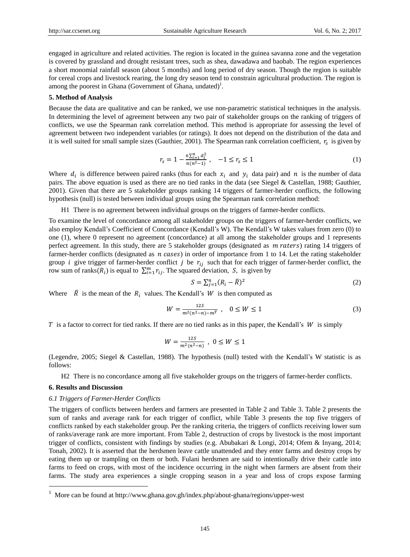engaged in agriculture and related activities. The region is located in the guinea savanna zone and the vegetation is covered by grassland and drought resistant trees, such as shea, dawadawa and baobab. The region experiences a short monomial rainfall season (about 5 months) and long period of dry season. Though the region is suitable for cereal crops and livestock rearing, the long dry season tend to constrain agricultural production. The region is among the poorest in Ghana (Government of Ghana, undated)<sup>1</sup>.

#### **5. Method of Analysis**

Because the data are qualitative and can be ranked, we use non-parametric statistical techniques in the analysis. In determining the level of agreement between any two pair of stakeholder groups on the ranking of triggers of conflicts, we use the Spearman rank correlation method. This method is appropriate for assessing the level of agreement between two independent variables (or ratings). It does not depend on the distribution of the data and it is well suited for small sample sizes (Gauthier, 2001). The Spearman rank correlation coefficient,  $r_s$  is given by

$$
r_{s} = 1 - \frac{6\sum_{i=1}^{n} d_{i}^{2}}{n(n^{2}-1)}, \quad -1 \leq r_{s} \leq 1
$$
\n(1)

Where  $d_i$  is difference between paired ranks (thus for each  $x_i$  and  $y_i$  data pair) and  $n$  is the number of data pairs. The above equation is used as there are no tied ranks in the data (see Siegel & Castellan, 1988; Gauthier, 2001). Given that there are 5 stakeholder groups ranking 14 triggers of farmer-herder conflicts, the following hypothesis (null) is tested between individual groups using the Spearman rank correlation method:

H1 There is no agreement between individual groups on the triggers of farmer-herder conflicts.

To examine the level of concordance among all stakeholder groups on the triggers of farmer-herder conflicts, we also employ Kendall's Coefficient of Concordance (Kendall's W). The Kendall's W takes values from zero (0) to one (1), where 0 represent no agreement (concordance) at all among the stakeholder groups and 1 represents perfect agreement. In this study, there are 5 stakeholder groups (designated as  $m$  raters) rating 14 triggers of farmer-herder conflicts (designated as  $n \, cases$ ) in order of importance from 1 to 14. Let the rating stakeholder group *i* give trigger of farmer-herder conflict *j* be  $r_{ij}$  such that for each trigger of farmer-herder conflict, the row sum of ranks( $R_i$ ) is equal to  $\sum_{i=1}^{m} r_{ij}$ . The squared deviation, S, is given by

$$
S = \sum_{j=1}^{n} (R_i - \overline{R})^2
$$
\n<sup>(2)</sup>

Where  $\overline{R}$  is the mean of the  $R_i$  values. The Kendall's W is then computed as

$$
W = \frac{12S}{m^2(n^2 - n) - m^T}, \quad 0 \le W \le 1
$$
\n(3)

 $\bar{T}$  is a factor to correct for tied ranks. If there are no tied ranks as in this paper, the Kendall's  $W$  is simply

$$
W = \frac{12S}{m^2(n^2 - n)}, \ 0 \le W \le 1
$$

(Legendre, 2005; Siegel & Castellan, 1988). The hypothesis (null) tested with the Kendall's W statistic is as follows:

H2 There is no concordance among all five stakeholder groups on the triggers of farmer-herder conflicts.

#### **6. Results and Discussion**

-

#### *6.1 Triggers of Farmer-Herder Conflicts*

The triggers of conflicts between herders and farmers are presented in Table 2 and Table 3. Table 2 presents the sum of ranks and average rank for each trigger of conflict, while Table 3 presents the top five triggers of conflicts ranked by each stakeholder group. Per the ranking criteria, the triggers of conflicts receiving lower sum of ranks/average rank are more important. From Table 2, destruction of crops by livestock is the most important trigger of conflicts, consistent with findings by studies (e.g. Abubakari & Longi, 2014; Ofem & Inyang, 2014; Tonah, 2002). It is asserted that the herdsmen leave cattle unattended and they enter farms and destroy crops by eating them up or trampling on them or both. Fulani herdsmen are said to intentionally drive their cattle into farms to feed on crops, with most of the incidence occurring in the night when farmers are absent from their farms. The study area experiences a single cropping season in a year and loss of crops expose farming

<sup>1</sup> More can be found at http://www.ghana.gov.gh/index.php/about-ghana/regions/upper-west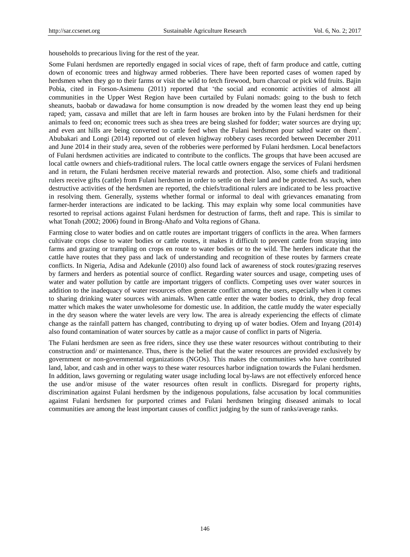households to precarious living for the rest of the year.

Some Fulani herdsmen are reportedly engaged in social vices of rape, theft of farm produce and cattle, cutting down of economic trees and highway armed robberies. There have been reported cases of women raped by herdsmen when they go to their farms or visit the wild to fetch firewood, burn charcoal or pick wild fruits. Bajin Pobia, cited in Forson-Asimenu (2011) reported that 'the social and economic activities of almost all communities in the Upper West Region have been curtailed by Fulani nomads: going to the bush to fetch sheanuts, baobab or dawadawa for home consumption is now dreaded by the women least they end up being raped; yam, cassava and millet that are left in farm houses are broken into by the Fulani herdsmen for their animals to feed on; economic trees such as shea trees are being slashed for fodder; water sources are drying up; and even ant hills are being converted to cattle feed when the Fulani herdsmen pour salted water on them'. Abubakari and Longi (2014) reported out of eleven highway robbery cases recorded between December 2011 and June 2014 in their study area, seven of the robberies were performed by Fulani herdsmen. Local benefactors of Fulani herdsmen activities are indicated to contribute to the conflicts. The groups that have been accused are local cattle owners and chiefs-traditional rulers. The local cattle owners engage the services of Fulani herdsmen and in return, the Fulani herdsmen receive material rewards and protection. Also, some chiefs and traditional rulers receive gifts (cattle) from Fulani herdsmen in order to settle on their land and be protected. As such, when destructive activities of the herdsmen are reported, the chiefs/traditional rulers are indicated to be less proactive in resolving them. Generally, systems whether formal or informal to deal with grievances emanating from farmer-herder interactions are indicated to be lacking. This may explain why some local communities have resorted to reprisal actions against Fulani herdsmen for destruction of farms, theft and rape. This is similar to what Tonah (2002; 2006) found in Brong-Ahafo and Volta regions of Ghana.

Farming close to water bodies and on cattle routes are important triggers of conflicts in the area. When farmers cultivate crops close to water bodies or cattle routes, it makes it difficult to prevent cattle from straying into farms and grazing or trampling on crops en route to water bodies or to the wild. The herders indicate that the cattle have routes that they pass and lack of understanding and recognition of these routes by farmers create conflicts. In Nigeria, Adisa and Adekunle (2010) also found lack of awareness of stock routes/grazing reserves by farmers and herders as potential source of conflict. Regarding water sources and usage, competing uses of water and water pollution by cattle are important triggers of conflicts. Competing uses over water sources in addition to the inadequacy of water resources often generate conflict among the users, especially when it comes to sharing drinking water sources with animals. When cattle enter the water bodies to drink, they drop fecal matter which makes the water unwholesome for domestic use. In addition, the cattle muddy the water especially in the dry season where the water levels are very low. The area is already experiencing the effects of climate change as the rainfall pattern has changed, contributing to drying up of water bodies. Ofem and Inyang (2014) also found contamination of water sources by cattle as a major cause of conflict in parts of Nigeria.

The Fulani herdsmen are seen as free riders, since they use these water resources without contributing to their construction and/ or maintenance. Thus, there is the belief that the water resources are provided exclusively by government or non-governmental organizations (NGOs). This makes the communities who have contributed land, labor, and cash and in other ways to these water resources harbor indignation towards the Fulani herdsmen. In addition, laws governing or regulating water usage including local by-laws are not effectively enforced hence the use and/or misuse of the water resources often result in conflicts. Disregard for property rights, discrimination against Fulani herdsmen by the indigenous populations, false accusation by local communities against Fulani herdsmen for purported crimes and Fulani herdsmen bringing diseased animals to local communities are among the least important causes of conflict judging by the sum of ranks/average ranks.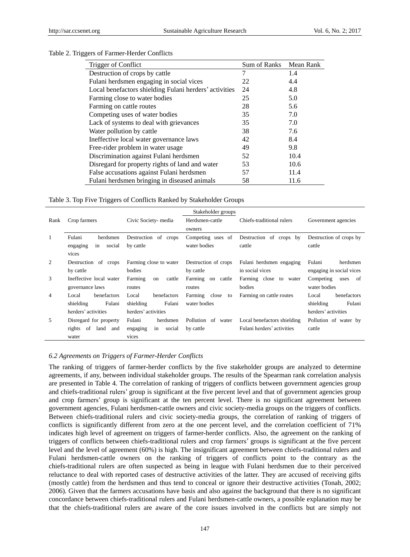#### Table 2. Triggers of Farmer-Herder Conflicts

| Trigger of Conflict                                    | Sum of Ranks | Mean Rank |
|--------------------------------------------------------|--------------|-----------|
| Destruction of crops by cattle                         |              | 1.4       |
| Fulani herdsmen engaging in social vices               | 22           | 4.4       |
| Local benefactors shielding Fulani herders' activities | 24           | 4.8       |
| Farming close to water bodies                          | 25           | 5.0       |
| Farming on cattle routes                               | 28           | 5.6       |
| Competing uses of water bodies                         | 35           | 7.0       |
| Lack of systems to deal with grievances                | 35           | 7.0       |
| Water pollution by cattle                              | 38           | 7.6       |
| Ineffective local water governance laws                | 42           | 8.4       |
| Free-rider problem in water usage                      | 49           | 9.8       |
| Discrimination against Fulani herdsmen                 | 52           | 10.4      |
| Disregard for property rights of land and water        | 53           | 10.6      |
| False accusations against Fulani herdsmen              | 57           | 11.4      |
| Fulani herdsmen bringing in diseased animals           | 58           | 11.6      |

|  |  | Table 3. Top Five Triggers of Conflicts Ranked by Stakeholder Groups |  |
|--|--|----------------------------------------------------------------------|--|
|  |  |                                                                      |  |

|      |                                            |                          | Stakeholder groups      |                             |                          |
|------|--------------------------------------------|--------------------------|-------------------------|-----------------------------|--------------------------|
| Rank | Crop farmers                               | Civic Society-media      | Herdsmen-cattle         | Chiefs-traditional rulers   | Government agencies      |
|      |                                            |                          | owners                  |                             |                          |
| 1    | Fulani<br>herdsmen                         | Destruction of<br>crops  | Competing uses of       | Destruction of crops by     | Destruction of crops by  |
|      | engaging<br>social<br>in                   | by cattle                | water bodies            | cattle                      | cattle                   |
|      | vices                                      |                          |                         |                             |                          |
| 2    | Destruction of crops                       | Farming close to water   | Destruction of crops    | Fulani herdsmen engaging    | Fulani<br>herdsmen       |
|      | by cattle                                  | bodies                   | by cattle               | in social vices             | engaging in social vices |
| 3    | Ineffective local water                    | Farming<br>cattle<br>on  | Farming<br>cattle<br>on | Farming close<br>to water   | Competing<br>-of<br>uses |
|      | governance laws                            | routes                   | routes                  | bodies                      | water bodies             |
| 4    | benefactors<br>Local                       | benefactors<br>Local     | Farming<br>close<br>to  | Farming on cattle routes    | benefactors<br>Local     |
|      | Fulani<br>shielding                        | shielding<br>Fulani      | water bodies            |                             | Fulani<br>shielding      |
|      | herders' activities<br>herders' activities |                          |                         |                             | herders' activities      |
| .5   | Disregard for property                     | Fulani<br>herdsmen       | Pollution of water      | Local benefactors shielding | Pollution of water by    |
|      | of<br>rights<br>land<br>and                | in<br>engaging<br>social | by cattle               | Fulani herders' activities  | cattle                   |
|      | water                                      | vices                    |                         |                             |                          |

#### *6.2 Agreements on Triggers of Farmer-Herder Conflicts*

The ranking of triggers of farmer-herder conflicts by the five stakeholder groups are analyzed to determine agreements, if any, between individual stakeholder groups. The results of the Spearman rank correlation analysis are presented in Table 4. The correlation of ranking of triggers of conflicts between government agencies group and chiefs-traditional rulers' group is significant at the five percent level and that of government agencies group and crop farmers' group is significant at the ten percent level. There is no significant agreement between government agencies, Fulani herdsmen-cattle owners and civic society-media groups on the triggers of conflicts. Between chiefs-traditional rulers and civic society-media groups, the correlation of ranking of triggers of conflicts is significantly different from zero at the one percent level, and the correlation coefficient of 71% indicates high level of agreement on triggers of farmer-herder conflicts. Also, the agreement on the ranking of triggers of conflicts between chiefs-traditional rulers and crop farmers' groups is significant at the five percent level and the level of agreement (60%) is high. The insignificant agreement between chiefs-traditional rulers and Fulani herdsmen-cattle owners on the ranking of triggers of conflicts point to the contrary as the chiefs-traditional rulers are often suspected as being in league with Fulani herdsmen due to their perceived reluctance to deal with reported cases of destructive activities of the latter. They are accused of receiving gifts (mostly cattle) from the herdsmen and thus tend to conceal or ignore their destructive activities (Tonah, 2002; 2006). Given that the farmers accusations have basis and also against the background that there is no significant concordance between chiefs-traditional rulers and Fulani herdsmen-cattle owners, a possible explanation may be that the chiefs-traditional rulers are aware of the core issues involved in the conflicts but are simply not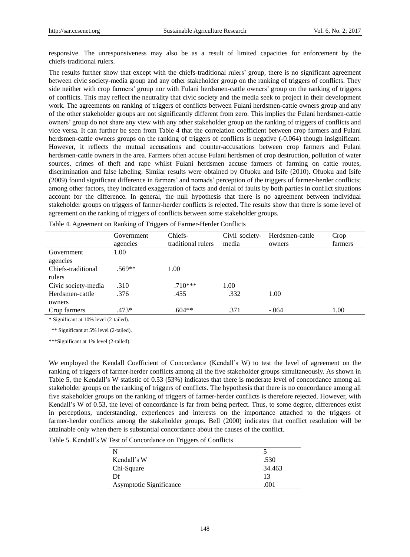responsive. The unresponsiveness may also be as a result of limited capacities for enforcement by the chiefs-traditional rulers.

The results further show that except with the chiefs-traditional rulers' group, there is no significant agreement between civic society-media group and any other stakeholder group on the ranking of triggers of conflicts. They side neither with crop farmers' group nor with Fulani herdsmen-cattle owners' group on the ranking of triggers of conflicts. This may reflect the neutrality that civic society and the media seek to project in their development work. The agreements on ranking of triggers of conflicts between Fulani herdsmen-cattle owners group and any of the other stakeholder groups are not significantly different from zero. This implies the Fulani herdsmen-cattle owners' group do not share any view with any other stakeholder group on the ranking of triggers of conflicts and vice versa. It can further be seen from Table 4 that the correlation coefficient between crop farmers and Fulani herdsmen-cattle owners groups on the ranking of triggers of conflicts is negative (-0.064) though insignificant. However, it reflects the mutual accusations and counter-accusations between crop farmers and Fulani herdsmen-cattle owners in the area. Farmers often accuse Fulani herdsmen of crop destruction, pollution of water sources, crimes of theft and rape whilst Fulani herdsmen accuse farmers of farming on cattle routes, discrimination and false labeling. Similar results were obtained by Ofuoku and Isife (2010). Ofuoku and Isife (2009) found significant difference in farmers' and nomads' perception of the triggers of farmer-herder conflicts; among other factors, they indicated exaggeration of facts and denial of faults by both parties in conflict situations account for the difference. In general, the null hypothesis that there is no agreement between individual stakeholder groups on triggers of farmer-herder conflicts is rejected. The results show that there is some level of agreement on the ranking of triggers of conflicts between some stakeholder groups.

|                     | Government | Chiefs-            | Civil society- | Herdsmen-cattle | Crop    |
|---------------------|------------|--------------------|----------------|-----------------|---------|
|                     | agencies   | traditional rulers | media          | owners          | farmers |
| Government          | 1.00       |                    |                |                 |         |
| agencies            |            |                    |                |                 |         |
| Chiefs-traditional  | .569**     | 1.00               |                |                 |         |
| rulers              |            |                    |                |                 |         |
| Civic society-media | .310       | $.710***$          | 1.00           |                 |         |
| Herdsmen-cattle     | .376       | .455               | .332           | 1.00            |         |
| owners              |            |                    |                |                 |         |
| Crop farmers        | $.473*$    | .604**             | .371           | $-.064$         | 1.00    |
|                     |            |                    |                |                 |         |

Table 4. Agreement on Ranking of Triggers of Farmer-Herder Conflicts

\* Significant at 10% level (2-tailed).

\*\* Significant at 5% level (2-tailed).

\*\*\*Significant at 1% level (2-tailed).

We employed the Kendall Coefficient of Concordance (Kendall's W) to test the level of agreement on the ranking of triggers of farmer-herder conflicts among all the five stakeholder groups simultaneously. As shown in Table 5, the Kendall's W statistic of 0.53 (53%) indicates that there is moderate level of concordance among all stakeholder groups on the ranking of triggers of conflicts. The hypothesis that there is no concordance among all five stakeholder groups on the ranking of triggers of farmer-herder conflicts is therefore rejected. However, with Kendall's W of 0.53, the level of concordance is far from being perfect. Thus, to some degree, differences exist in perceptions, understanding, experiences and interests on the importance attached to the triggers of farmer-herder conflicts among the stakeholder groups. Bell (2000) indicates that conflict resolution will be attainable only when there is substantial concordance about the causes of the conflict.

Table 5. Kendall's W Test of Concordance on Triggers of Conflicts

| Kendall's W             | .530   |
|-------------------------|--------|
| Chi-Square              | 34.463 |
| Df                      | 13     |
| Asymptotic Significance | (0()   |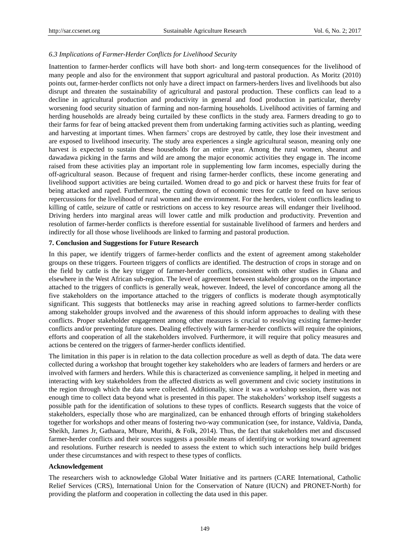# *6.3 Implications of Farmer-Herder Conflicts for Livelihood Security*

Inattention to farmer-herder conflicts will have both short- and long-term consequences for the livelihood of many people and also for the environment that support agricultural and pastoral production. As Moritz (2010) points out, farmer-herder conflicts not only have a direct impact on farmers-herders lives and livelihoods but also disrupt and threaten the sustainability of agricultural and pastoral production. These conflicts can lead to a decline in agricultural production and productivity in general and food production in particular, thereby worsening food security situation of farming and non-farming households. Livelihood activities of farming and herding households are already being curtailed by these conflicts in the study area. Farmers dreading to go to their farms for fear of being attacked prevent them from undertaking farming activities such as planting, weeding and harvesting at important times. When farmers' crops are destroyed by cattle, they lose their investment and are exposed to livelihood insecurity. The study area experiences a single agricultural season, meaning only one harvest is expected to sustain these households for an entire year. Among the rural women, sheanut and dawadawa picking in the farms and wild are among the major economic activities they engage in. The income raised from these activities play an important role in supplementing low farm incomes, especially during the off-agricultural season. Because of frequent and rising farmer-herder conflicts, these income generating and livelihood support activities are being curtailed. Women dread to go and pick or harvest these fruits for fear of being attacked and raped. Furthermore, the cutting down of economic trees for cattle to feed on have serious repercussions for the livelihood of rural women and the environment. For the herders, violent conflicts leading to killing of cattle, seizure of cattle or restrictions on access to key resource areas will endanger their livelihood. Driving herders into marginal areas will lower cattle and milk production and productivity. Prevention and resolution of farmer-herder conflicts is therefore essential for sustainable livelihood of farmers and herders and indirectly for all those whose livelihoods are linked to farming and pastoral production.

## **7. Conclusion and Suggestions for Future Research**

In this paper, we identify triggers of farmer-herder conflicts and the extent of agreement among stakeholder groups on these triggers. Fourteen triggers of conflicts are identified. The destruction of crops in storage and on the field by cattle is the key trigger of farmer-herder conflicts, consistent with other studies in Ghana and elsewhere in the West African sub-region. The level of agreement between stakeholder groups on the importance attached to the triggers of conflicts is generally weak, however. Indeed, the level of concordance among all the five stakeholders on the importance attached to the triggers of conflicts is moderate though asymptotically significant. This suggests that bottlenecks may arise in reaching agreed solutions to farmer-herder conflicts among stakeholder groups involved and the awareness of this should inform approaches to dealing with these conflicts. Proper stakeholder engagement among other measures is crucial to resolving existing farmer-herder conflicts and/or preventing future ones. Dealing effectively with farmer-herder conflicts will require the opinions, efforts and cooperation of all the stakeholders involved. Furthermore, it will require that policy measures and actions be centered on the triggers of farmer-herder conflicts identified.

The limitation in this paper is in relation to the data collection procedure as well as depth of data. The data were collected during a workshop that brought together key stakeholders who are leaders of farmers and herders or are involved with farmers and herders. While this is characterized as convenience sampling, it helped in meeting and interacting with key stakeholders from the affected districts as well government and civic society institutions in the region through which the data were collected. Additionally, since it was a workshop session, there was not enough time to collect data beyond what is presented in this paper. The stakeholders' workshop itself suggests a possible path for the identification of solutions to these types of conflicts. Research suggests that the voice of stakeholders, especially those who are marginalized, can be enhanced through efforts of bringing stakeholders together for workshops and other means of fostering two-way communication (see, for instance, Valdivia, Danda, Sheikh, James Jr, Gathaara, Mbure, Murithi, & Folk, 2014). Thus, the fact that stakeholders met and discussed farmer-herder conflicts and their sources suggests a possible means of identifying or working toward agreement and resolutions. Further research is needed to assess the extent to which such interactions help build bridges under these circumstances and with respect to these types of conflicts.

## **Acknowledgement**

The researchers wish to acknowledge Global Water Initiative and its partners (CARE International, Catholic Relief Services (CRS), International Union for the Conservation of Nature (IUCN) and PRONET-North) for providing the platform and cooperation in collecting the data used in this paper.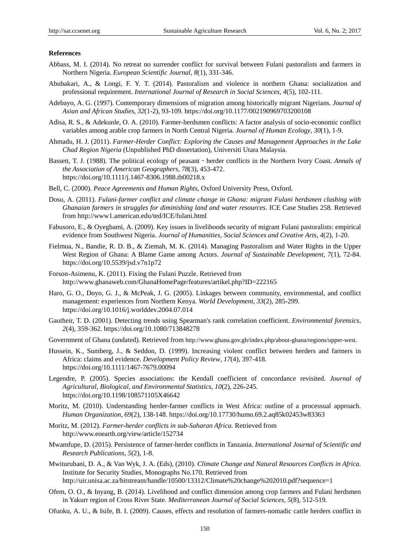#### **References**

- Abbass, M. I. (2014). No retreat no surrender conflict for survival between Fulani pastoralists and farmers in Northern Nigeria. *European Scientific Journal, 8*(1), 331-346.
- Abubakari, A., & Longi, F. Y. T. (2014). Pastoralism and violence in northern Ghana: socialization and professional requirement. *International Journal of Research in Social Sciences, 4*(5), 102-111.
- Adebayo, A. G. (1997). Contemporary dimensions of migration among historically migrant Nigerians. *Journal of Asian and African Studies, 32*(1-2), 93-109. https://doi.org/10.1177/002190969703200108
- Adisa, R. S., & Adekunle, O. A. (2010). Farmer-herdsmen conflicts: A factor analysis of socio-economic conflict variables among arable crop farmers in North Central Nigeria. *Journal of Human Ecology, 30*(1), 1-9.
- Ahmadu, H. J. (2011). *Farmer-Herder Conflict: Exploring the Causes and Management Approaches in the Lake Chad Region Nigeria* (Unpublished PhD dissertation), Universiti Utara Malaysia.
- Bassett, T. J. (1988). The political ecology of peasant‐herder conflicts in the Northern Ivory Coast. *Annals of the Association of American Geographers*, *78*(3), 453-472. https://doi.org/10.1111/j.1467-8306.1988.tb00218.x
- Bell, C. (2000). *Peace Agreements and Human Rights*, Oxford University Press, Oxford.
- Dosu, A. (2011). *Fulani-farmer conflict and climate change in Ghana: migrant Fulani herdsmen clashing with Ghanaian farmers in struggles for diminishing land and water resources*. ICE Case Studies 258. Retrieved from http://www1.american.edu/ted/ICE/fulani.html
- Fabusoro, E., & Oyegbami, A. (2009). Key issues in livelihoods security of migrant Fulani pastoralists: empirical evidence from Southwest Nigeria. *Journal of Humanities, Social Sciences and Creative Arts, 4*(2), 1-20.
- Fielmua, N., Bandie, R. D. B., & Ziemah, M. K. (2014). Managing Pastoralism and Water Rights in the Upper West Region of Ghana: A Blame Game among Actors. *Journal of Sustainable Development*, *7*(1), 72-84. https://doi.org/10.5539/jsd.v7n1p72
- Forson-Asimenu, K. (2011). Fixing the Fulani Puzzle. Retrieved from http://www.ghanaweb.com/GhanaHomePage/features/artikel.php?ID=222165
- Haro, G. O., Doyo, G. J., & McPeak, J. G. (2005). Linkages between community, environmental, and conflict management: experiences from Northern Kenya. *World Development, 33*(2), 285-299. https://doi.org/10.1016/j.worlddev.2004.07.014
- Gautheir, T. D. (2001). Detecting trends using Spearman's rank correlation coefficient. *Environmental forensics*, *2*(4), 359-362. https://doi.org/10.1080/713848278
- Government of Ghana (undated). Retrieved from http://www.ghana.gov.gh/index.php/about-ghana/regions/upper-west.
- Hussein, K., Sumberg, J., & Seddon, D. (1999). Increasing violent conflict between herders and farmers in Africa: claims and evidence. *Development Policy Review, 17*(4), 397-418. https://doi.org/10.1111/1467-7679.00094
- Legendre, P. (2005). Species associations: the Kendall coefficient of concordance revisited. *Journal of Agricultural, Biological, and Environmental Statistics, 10*(2), 226-245. https://doi.org/10.1198/108571105X46642
- Moritz, M. (2010). Understanding herder-farmer conflicts in West Africa: outline of a processual approach. *Human Organization, 69*(2), 138-148. https://doi.org/10.17730/humo.69.2.aq85k02453w83363
- Moritz, M. (2012). *Farmer-herder conflicts in sub-Saharan Africa.* Retrieved from http://www.eoearth.org/view/article/152734
- Mwamfupe, D. (2015). Persistence of farmer-herder conflicts in Tanzania. *International Journal of Scientific and Research Publications, 5*(2), 1-8.
- Mwiturubani, D. A., & Van Wyk, J. A. (Eds), (2010). *Climate Change and Natural Resources Conflicts in Africa*. Institute for Security Studies, Monographs No.170. Retrieved from http://uir.unisa.ac.za/bitstream/handle/10500/13312/Climate%20change%202010.pdf?sequence=1
- Ofem, O. O., & Inyang, B. (2014). Livelihood and conflict dimension among crop farmers and Fulani herdsmen in Yakurr region of Cross River State. *Mediterranean Journal of Social Sciences, 5*(8), 512-519.
- Ofuoku, A. U., & Isife, B. I. (2009). Causes, effects and resolution of farmers-nomadic cattle herders conflict in